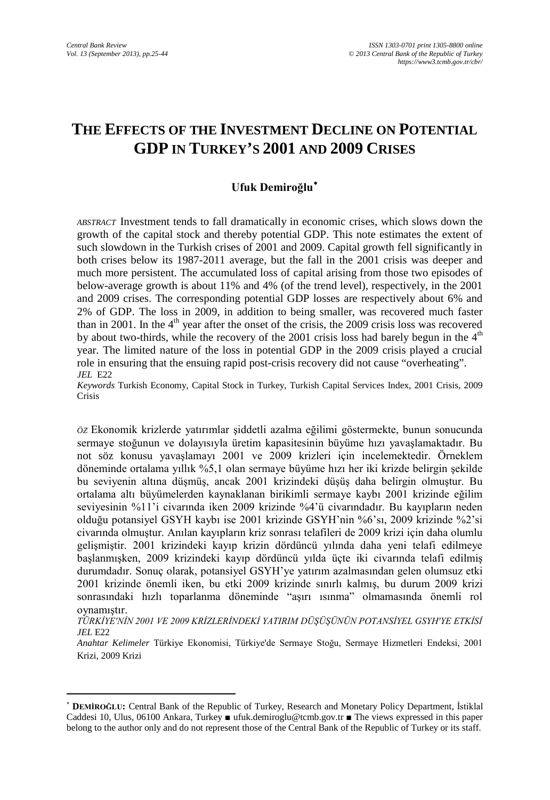$\overline{\phantom{a}}$ 

# **THE EFFECTS OF THE INVESTMENT DECLINE ON POTENTIAL GDP IN TURKEY'S 2001 AND 2009 CRISES**

### **Ufuk Demiroğlu**[∗](#page-0-0)

*ABSTRACT* Investment tends to fall dramatically in economic crises, which slows down the growth of the capital stock and thereby potential GDP. This note estimates the extent of such slowdown in the Turkish crises of 2001 and 2009. Capital growth fell significantly in both crises below its 1987-2011 average, but the fall in the 2001 crisis was deeper and much more persistent. The accumulated loss of capital arising from those two episodes of below-average growth is about 11% and 4% (of the trend level), respectively, in the 2001 and 2009 crises. The corresponding potential GDP losses are respectively about 6% and 2% of GDP. The loss in 2009, in addition to being smaller, was recovered much faster than in 2001. In the  $4<sup>th</sup>$  year after the onset of the crisis, the 2009 crisis loss was recovered by about two-thirds, while the recovery of the 2001 crisis loss had barely begun in the  $4<sup>th</sup>$ year. The limited nature of the loss in potential GDP in the 2009 crisis played a crucial role in ensuring that the ensuing rapid post-crisis recovery did not cause "overheating". *JEL* E22

*Keywords* Turkish Economy, Capital Stock in Turkey, Turkish Capital Services Index, 2001 Crisis, 2009 Crisis

*ÖZ* Ekonomik krizlerde yatırımlar şiddetli azalma eğilimi göstermekte, bunun sonucunda sermaye stoğunun ve dolayısıyla üretim kapasitesinin büyüme hızı yavaşlamaktadır. Bu not söz konusu yavaşlamayı 2001 ve 2009 krizleri için incelemektedir. Örneklem döneminde ortalama yıllık %5,1 olan sermaye büyüme hızı her iki krizde belirgin şekilde bu seviyenin altına düşmüş, ancak 2001 krizindeki düşüş daha belirgin olmuştur. Bu ortalama altı büyümelerden kaynaklanan birikimli sermaye kaybı 2001 krizinde eğilim seviyesinin %11'i civarında iken 2009 krizinde %4'ü civarındadır. Bu kayıpların neden olduğu potansiyel GSYH kaybı ise 2001 krizinde GSYH'nin %6'sı, 2009 krizinde %2'si civarında olmuştur. Anılan kayıpların kriz sonrası telafileri de 2009 krizi için daha olumlu gelişmiştir. 2001 krizindeki kayıp krizin dördüncü yılında daha yeni telafi edilmeye başlanmışken, 2009 krizindeki kayıp dördüncü yılda üçte iki civarında telafi edilmiş durumdadır. Sonuç olarak, potansiyel GSYH'ye yatırım azalmasından gelen olumsuz etki 2001 krizinde önemli iken, bu etki 2009 krizinde sınırlı kalmış, bu durum 2009 krizi sonrasındaki hızlı toparlanma döneminde "aşırı ısınma" olmamasında önemli rol oynamıştır.

<span id="page-0-1"></span>*TÜRKİYE'NİN 2001 VE 2009 KRİZLERİNDEKİ YATIRIM DÜŞÜŞÜNÜN POTANSİYEL GSYH'YE ETKİSİ JEL* E22

*Anahtar Kelimeler* Türkiye Ekonomisi, Türkiye'de Sermaye Stoğu, Sermaye Hizmetleri Endeksi, 2001 Krizi, 2009 Krizi

<span id="page-0-0"></span><sup>∗</sup> **DEMİROĞLU:** Central Bank of the Republic of Turkey, Research and Monetary Policy Department, İstiklal Caddesi 10, Ulus, 06100 Ankara, Turkey ■ ufuk.demirogl[u@tcmb.gov.tr](mailto:Murat.Ungor@tcmb.gov.tr) ■ The views expressed in this paper belong to the author only and do not represent those of the Central Bank of the Republic of Turkey or its staff.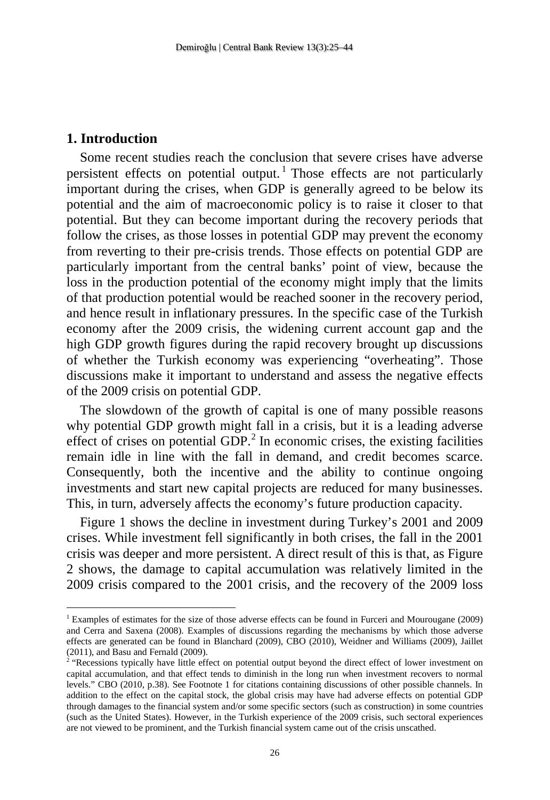### **1. Introduction**

 $\overline{\phantom{a}}$ 

Some recent studies reach the conclusion that severe crises have adverse persistent effects on potential output.<sup>[1](#page-0-1)</sup> Those effects are not particularly important during the crises, when GDP is generally agreed to be below its potential and the aim of macroeconomic policy is to raise it closer to that potential. But they can become important during the recovery periods that follow the crises, as those losses in potential GDP may prevent the economy from reverting to their pre-crisis trends. Those effects on potential GDP are particularly important from the central banks' point of view, because the loss in the production potential of the economy might imply that the limits of that production potential would be reached sooner in the recovery period, and hence result in inflationary pressures. In the specific case of the Turkish economy after the 2009 crisis, the widening current account gap and the high GDP growth figures during the rapid recovery brought up discussions of whether the Turkish economy was experiencing "overheating". Those discussions make it important to understand and assess the negative effects of the 2009 crisis on potential GDP.

The slowdown of the growth of capital is one of many possible reasons why potential GDP growth might fall in a crisis, but it is a leading adverse effect of crises on potential  $GDP<sup>2</sup>$  $GDP<sup>2</sup>$  $GDP<sup>2</sup>$  In economic crises, the existing facilities remain idle in line with the fall in demand, and credit becomes scarce. Consequently, both the incentive and the ability to continue ongoing investments and start new capital projects are reduced for many businesses. This, in turn, adversely affects the economy's future production capacity.

Figure 1 shows the decline in investment during Turkey's 2001 and 2009 crises. While investment fell significantly in both crises, the fall in the 2001 crisis was deeper and more persistent. A direct result of this is that, as Figure 2 shows, the damage to capital accumulation was relatively limited in the 2009 crisis compared to the 2001 crisis, and the recovery of the 2009 loss

<sup>1</sup> Examples of estimates for the size of those adverse effects can be found in Furceri and Mourougane (2009) and Cerra and Saxena (2008). Examples of discussions regarding the mechanisms by which those adverse effects are generated can be found in Blanchard (2009), CBO (2010), Weidner and Williams (2009), Jaillet (2011), and Basu and Fernald (2009).

<span id="page-1-0"></span><sup>&</sup>quot;Recessions typically have little effect on potential output beyond the direct effect of lower investment on capital accumulation, and that effect tends to diminish in the long run when investment recovers to normal levels." CBO (2010, p.38). See Footnote 1 for citations containing discussions of other possible channels. In addition to the effect on the capital stock, the global crisis may have had adverse effects on potential GDP through damages to the financial system and/or some specific sectors (such as construction) in some countries (such as the United States). However, in the Turkish experience of the 2009 crisis, such sectoral experiences are not viewed to be prominent, and the Turkish financial system came out of the crisis unscathed.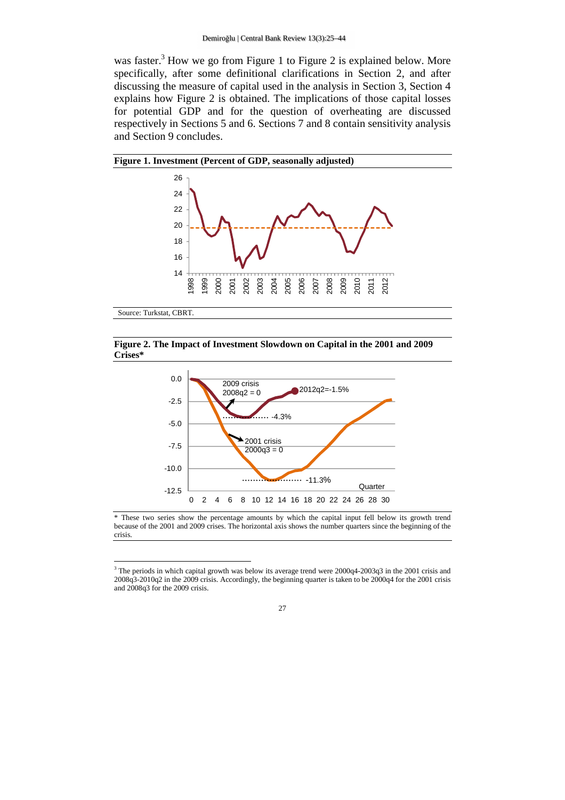was faster.<sup>3</sup> How we go from Figure 1 to Figure 2 is explained below. More specifically, after some definitional clarifications in Section 2, and after discussing the measure of capital used in the analysis in Section 3, Section 4 explains how Figure 2 is obtained. The implications of those capital losses for potential GDP and for the question of overheating are discussed respectively in Sections 5 and 6. Sections 7 and 8 contain sensitivity analysis and Section 9 concludes.



#### **Figure 2. The Impact of Investment Slowdown on Capital in the 2001 and 2009 Crises\***



<sup>\*</sup> These two series show the percentage amounts by which the capital input fell below its growth trend because of the 2001 and 2009 crises. The horizontal axis shows the number quarters since the beginning of the crisis.

l

<sup>&</sup>lt;sup>3</sup> The periods in which capital growth was below its average trend were 2000q4-2003q3 in the 2001 crisis and 2008q3-2010q2 in the 2009 crisis. Accordingly, the beginning quarter is taken to be 2000q4 for the 2001 crisis and 2008q3 for the 2009 crisis.

<sup>27</sup>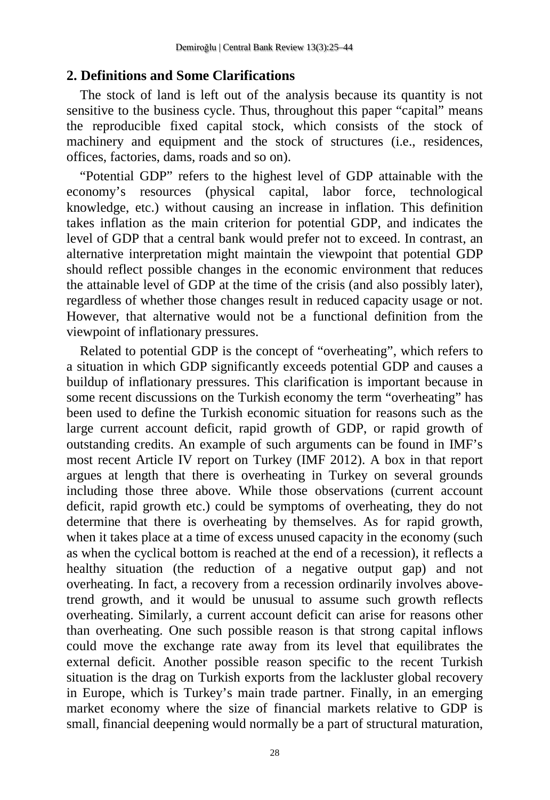### **2. Definitions and Some Clarifications**

The stock of land is left out of the analysis because its quantity is not sensitive to the business cycle. Thus, throughout this paper "capital" means the reproducible fixed capital stock, which consists of the stock of machinery and equipment and the stock of structures (i.e., residences, offices, factories, dams, roads and so on).

"Potential GDP" refers to the highest level of GDP attainable with the economy's resources (physical capital, labor force, technological knowledge, etc.) without causing an increase in inflation. This definition takes inflation as the main criterion for potential GDP, and indicates the level of GDP that a central bank would prefer not to exceed. In contrast, an alternative interpretation might maintain the viewpoint that potential GDP should reflect possible changes in the economic environment that reduces the attainable level of GDP at the time of the crisis (and also possibly later), regardless of whether those changes result in reduced capacity usage or not. However, that alternative would not be a functional definition from the viewpoint of inflationary pressures.

Related to potential GDP is the concept of "overheating", which refers to a situation in which GDP significantly exceeds potential GDP and causes a buildup of inflationary pressures. This clarification is important because in some recent discussions on the Turkish economy the term "overheating" has been used to define the Turkish economic situation for reasons such as the large current account deficit, rapid growth of GDP, or rapid growth of outstanding credits. An example of such arguments can be found in IMF's most recent Article IV report on Turkey (IMF 2012). A box in that report argues at length that there is overheating in Turkey on several grounds including those three above. While those observations (current account deficit, rapid growth etc.) could be symptoms of overheating, they do not determine that there is overheating by themselves. As for rapid growth, when it takes place at a time of excess unused capacity in the economy (such as when the cyclical bottom is reached at the end of a recession), it reflects a healthy situation (the reduction of a negative output gap) and not overheating. In fact, a recovery from a recession ordinarily involves abovetrend growth, and it would be unusual to assume such growth reflects overheating. Similarly, a current account deficit can arise for reasons other than overheating. One such possible reason is that strong capital inflows could move the exchange rate away from its level that equilibrates the external deficit. Another possible reason specific to the recent Turkish situation is the drag on Turkish exports from the lackluster global recovery in Europe, which is Turkey's main trade partner. Finally, in an emerging market economy where the size of financial markets relative to GDP is small, financial deepening would normally be a part of structural maturation,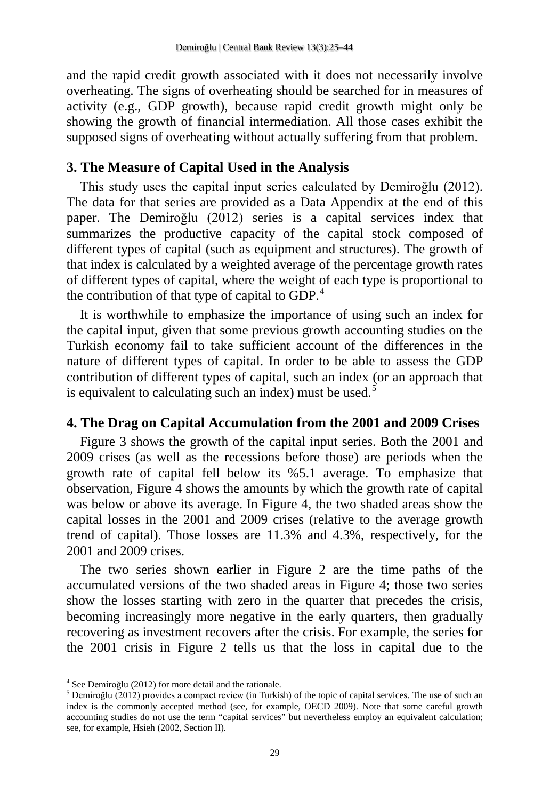and the rapid credit growth associated with it does not necessarily involve overheating. The signs of overheating should be searched for in measures of activity (e.g., GDP growth), because rapid credit growth might only be showing the growth of financial intermediation. All those cases exhibit the supposed signs of overheating without actually suffering from that problem.

### **3. The Measure of Capital Used in the Analysis**

This study uses the capital input series calculated by Demiroğlu (2012). The data for that series are provided as a Data Appendix at the end of this paper. The Demiroğlu (2012) series is a capital services index that summarizes the productive capacity of the capital stock composed of different types of capital (such as equipment and structures). The growth of that index is calculated by a weighted average of the percentage growth rates of different types of capital, where the weight of each type is proportional to the contribution of that type of capital to GDP. $<sup>4</sup>$ </sup>

It is worthwhile to emphasize the importance of using such an index for the capital input, given that some previous growth accounting studies on the Turkish economy fail to take sufficient account of the differences in the nature of different types of capital. In order to be able to assess the GDP contribution of different types of capital, such an index (or an approach that is equivalent to calculating such an index) must be used.<sup>[5](#page-4-0)</sup>

### **4. The Drag on Capital Accumulation from the 2001 and 2009 Crises**

Figure 3 shows the growth of the capital input series. Both the 2001 and 2009 crises (as well as the recessions before those) are periods when the growth rate of capital fell below its %5.1 average. To emphasize that observation, Figure 4 shows the amounts by which the growth rate of capital was below or above its average. In Figure 4, the two shaded areas show the capital losses in the 2001 and 2009 crises (relative to the average growth trend of capital). Those losses are 11.3% and 4.3%, respectively, for the 2001 and 2009 crises.

The two series shown earlier in Figure 2 are the time paths of the accumulated versions of the two shaded areas in Figure 4; those two series show the losses starting with zero in the quarter that precedes the crisis, becoming increasingly more negative in the early quarters, then gradually recovering as investment recovers after the crisis. For example, the series for the 2001 crisis in Figure 2 tells us that the loss in capital due to the

 $\overline{a}$ 

<span id="page-4-0"></span><sup>&</sup>lt;sup>4</sup> See Demiroğlu (2012) for more detail and the rationale.<br><sup>5</sup> Demiroğlu (2012) provides a compact review (in Turkish) of the topic of capital services. The use of such an index is the commonly accepted method (see, for example, OECD 2009). Note that some careful growth accounting studies do not use the term "capital services" but nevertheless employ an equivalent calculation; see, for example, Hsieh (2002, Section II).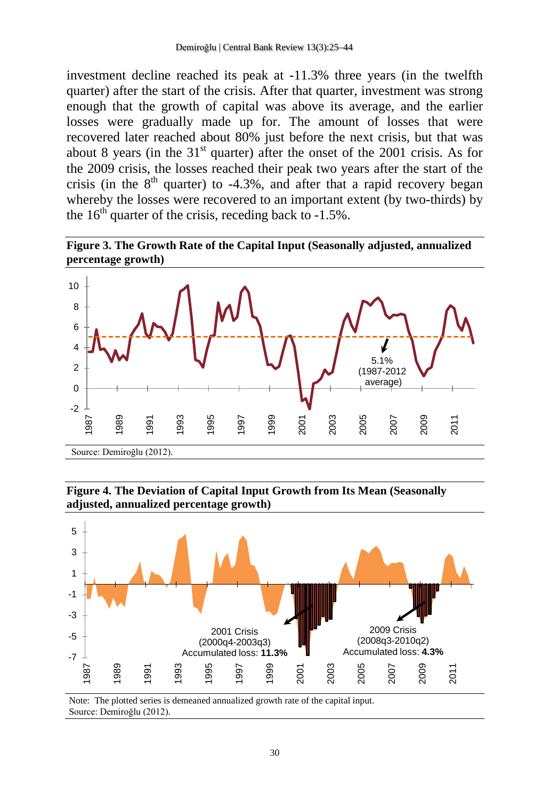investment decline reached its peak at -11.3% three years (in the twelfth quarter) after the start of the crisis. After that quarter, investment was strong enough that the growth of capital was above its average, and the earlier losses were gradually made up for. The amount of losses that were recovered later reached about 80% just before the next crisis, but that was about 8 years (in the  $31<sup>st</sup>$  quarter) after the onset of the 2001 crisis. As for the 2009 crisis, the losses reached their peak two years after the start of the crisis (in the  $8<sup>th</sup>$  quarter) to -4.3%, and after that a rapid recovery began whereby the losses were recovered to an important extent (by two-thirds) by the  $16<sup>th</sup>$  quarter of the crisis, receding back to  $-1.5\%$ .





**Figure 4. The Deviation of Capital Input Growth from Its Mean (Seasonally adjusted, annualized percentage growth)**



Note: The plotted series is demeaned annualized growth rate of the capital input. Source: Demiroğlu (2012).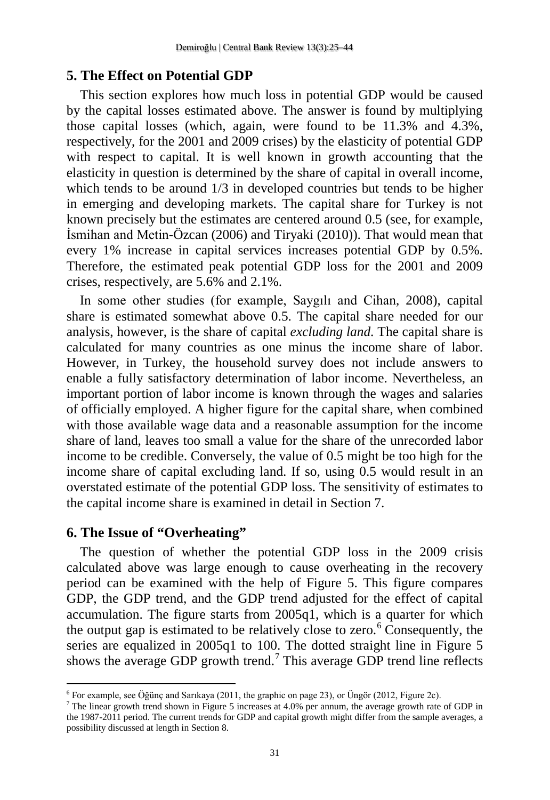### **5. The Effect on Potential GDP**

This section explores how much loss in potential GDP would be caused by the capital losses estimated above. The answer is found by multiplying those capital losses (which, again, were found to be 11.3% and 4.3%, respectively, for the 2001 and 2009 crises) by the elasticity of potential GDP with respect to capital. It is well known in growth accounting that the elasticity in question is determined by the share of capital in overall income, which tends to be around  $1/3$  in developed countries but tends to be higher in emerging and developing markets. The capital share for Turkey is not known precisely but the estimates are centered around 0.5 (see, for example, İsmihan and Metin-Özcan (2006) and Tiryaki (2010)). That would mean that every 1% increase in capital services increases potential GDP by 0.5%. Therefore, the estimated peak potential GDP loss for the 2001 and 2009 crises, respectively, are 5.6% and 2.1%.

In some other studies (for example, Saygılı and Cihan, 2008), capital share is estimated somewhat above 0.5. The capital share needed for our analysis, however, is the share of capital *excluding land*. The capital share is calculated for many countries as one minus the income share of labor. However, in Turkey, the household survey does not include answers to enable a fully satisfactory determination of labor income. Nevertheless, an important portion of labor income is known through the wages and salaries of officially employed. A higher figure for the capital share, when combined with those available wage data and a reasonable assumption for the income share of land, leaves too small a value for the share of the unrecorded labor income to be credible. Conversely, the value of 0.5 might be too high for the income share of capital excluding land. If so, using 0.5 would result in an overstated estimate of the potential GDP loss. The sensitivity of estimates to the capital income share is examined in detail in Section 7.

### **6. The Issue of "Overheating"**

 $\overline{\phantom{a}}$ 

<span id="page-6-1"></span>The question of whether the potential GDP loss in the 2009 crisis calculated above was large enough to cause overheating in the recovery period can be examined with the help of Figure 5. This figure compares GDP, the GDP trend, and the GDP trend adjusted for the effect of capital accumulation. The figure starts from 2005q1, which is a quarter for which the output gap is estimated to be relatively close to zero.<sup>[6](#page-4-0)</sup> Consequently, the series are equalized in 2005q1 to 100. The dotted straight line in Figure 5 shows the average GDP growth trend.<sup>[7](#page-6-0)</sup> This average GDP trend line reflects

<sup>6</sup> For example, see Öğünç and Sarıkaya (2011, the graphic on page 23), or Üngör (2012, Figure 2c).

<span id="page-6-0"></span><sup>7</sup> The linear growth trend shown in Figure 5 increases at 4.0% per annum, the average growth rate of GDP in the 1987-2011 period. The current trends for GDP and capital growth might differ from the sample averages, a possibility discussed at length in Section 8.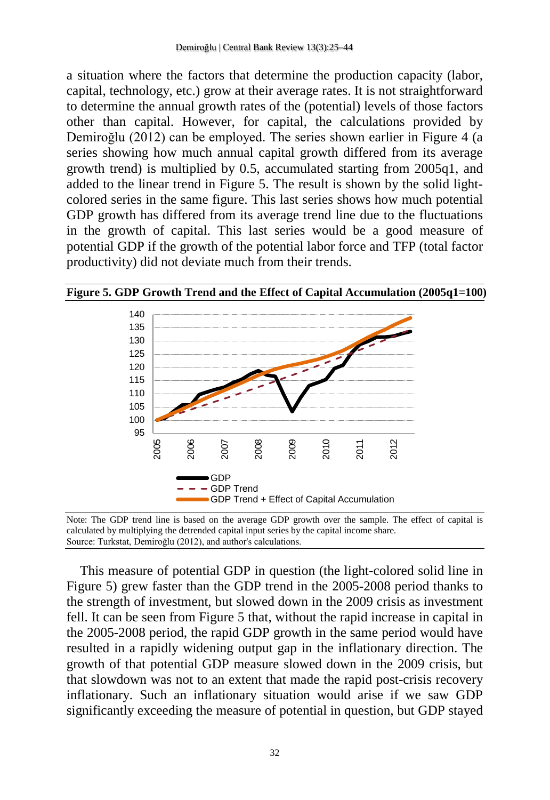a situation where the factors that determine the production capacity (labor, capital, technology, etc.) grow at their average rates. It is not straightforward to determine the annual growth rates of the (potential) levels of those factors other than capital. However, for capital, the calculations provided by Demiroğlu (2012) can be employed. The series shown earlier in Figure 4 (a series showing how much annual capital growth differed from its average growth trend) is multiplied by 0.5, accumulated starting from 2005q1, and added to the linear trend in Figure 5. The result is shown by the solid lightcolored series in the same figure. This last series shows how much potential GDP growth has differed from its average trend line due to the fluctuations in the growth of capital. This last series would be a good measure of potential GDP if the growth of the potential labor force and TFP (total factor productivity) did not deviate much from their trends.



**Figure 5. GDP Growth Trend and the Effect of Capital Accumulation (2005q1=100)**

Note: The GDP trend line is based on the average GDP growth over the sample. The effect of capital is calculated by multiplying the detrended capital input series by the capital income share. Source: Turkstat, Demiroğlu (2012), and author's calculations.

This measure of potential GDP in question (the light-colored solid line in Figure 5) grew faster than the GDP trend in the 2005-2008 period thanks to the strength of investment, but slowed down in the 2009 crisis as investment fell. It can be seen from Figure 5 that, without the rapid increase in capital in the 2005-2008 period, the rapid GDP growth in the same period would have resulted in a rapidly widening output gap in the inflationary direction. The growth of that potential GDP measure slowed down in the 2009 crisis, but that slowdown was not to an extent that made the rapid post-crisis recovery inflationary. Such an inflationary situation would arise if we saw GDP significantly exceeding the measure of potential in question, but GDP stayed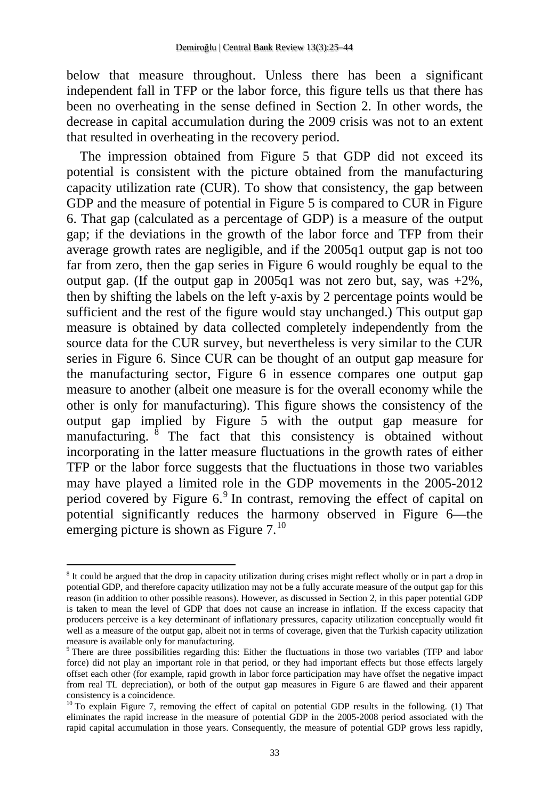below that measure throughout. Unless there has been a significant independent fall in TFP or the labor force, this figure tells us that there has been no overheating in the sense defined in Section 2. In other words, the decrease in capital accumulation during the 2009 crisis was not to an extent that resulted in overheating in the recovery period.

The impression obtained from Figure 5 that GDP did not exceed its potential is consistent with the picture obtained from the manufacturing capacity utilization rate (CUR). To show that consistency, the gap between GDP and the measure of potential in Figure 5 is compared to CUR in Figure 6. That gap (calculated as a percentage of GDP) is a measure of the output gap; if the deviations in the growth of the labor force and TFP from their average growth rates are negligible, and if the 2005q1 output gap is not too far from zero, then the gap series in Figure 6 would roughly be equal to the output gap. (If the output gap in 2005q1 was not zero but, say, was  $+2\%$ , then by shifting the labels on the left y-axis by 2 percentage points would be sufficient and the rest of the figure would stay unchanged.) This output gap measure is obtained by data collected completely independently from the source data for the CUR survey, but nevertheless is very similar to the CUR series in Figure 6. Since CUR can be thought of an output gap measure for the manufacturing sector, Figure 6 in essence compares one output gap measure to another (albeit one measure is for the overall economy while the other is only for manufacturing). This figure shows the consistency of the output gap implied by Figure 5 with the output gap measure for manufacturing.  $\overline{8}$  $\overline{8}$  $\overline{8}$  The fact that this consistency is obtained without incorporating in the latter measure fluctuations in the growth rates of either TFP or the labor force suggests that the fluctuations in those two variables may have played a limited role in the GDP movements in the 2005-2012 period covered by Figure 6.[9](#page-8-0) In contrast, removing the effect of capital on potential significantly reduces the harmony observed in Figure 6—the emerging picture is shown as Figure 7.<sup>[10](#page-8-1)</sup>

 $\overline{a}$ 

<sup>8</sup> It could be argued that the drop in capacity utilization during crises might reflect wholly or in part a drop in potential GDP, and therefore capacity utilization may not be a fully accurate measure of the output gap for this reason (in addition to other possible reasons). However, as discussed in Section 2, in this paper potential GDP is taken to mean the level of GDP that does not cause an increase in inflation. If the excess capacity that producers perceive is a key determinant of inflationary pressures, capacity utilization conceptually would fit well as a measure of the output gap, albeit not in terms of coverage, given that the Turkish capacity utilization measure is available only for manufacturing.

<span id="page-8-0"></span><sup>9</sup> There are three possibilities regarding this: Either the fluctuations in those two variables (TFP and labor force) did not play an important role in that period, or they had important effects but those effects largely offset each other (for example, rapid growth in labor force participation may have offset the negative impact from real TL depreciation), or both of the output gap measures in Figure 6 are flawed and their apparent

<span id="page-8-1"></span> $^{10}$  To explain Figure 7, removing the effect of capital on potential GDP results in the following. (1) That eliminates the rapid increase in the measure of potential GDP in the 2005-2008 period associated with the rapid capital accumulation in those years. Consequently, the measure of potential GDP grows less rapidly,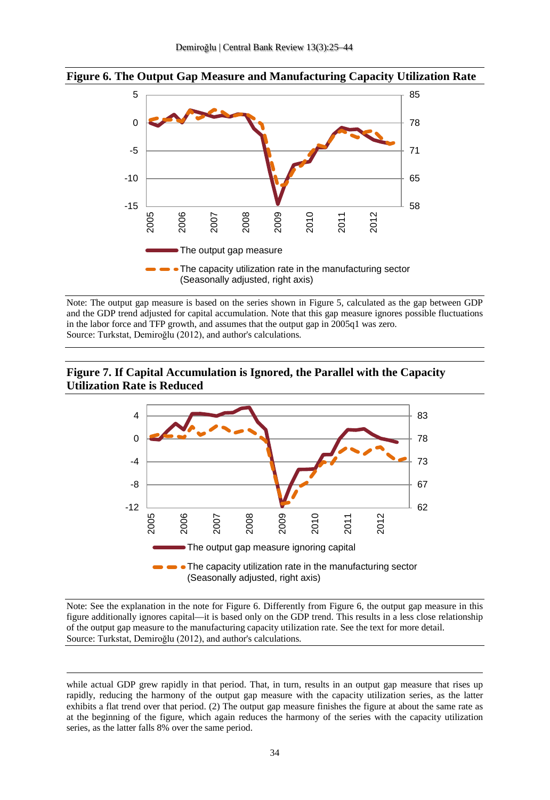

#### **Figure 6. The Output Gap Measure and Manufacturing Capacity Utilization Rate**

Note: The output gap measure is based on the series shown in Figure 5, calculated as the gap between GDP and the GDP trend adjusted for capital accumulation. Note that this gap measure ignores possible fluctuations in the labor force and TFP growth, and assumes that the output gap in 2005q1 was zero. Source: Turkstat, Demiroğlu (2012), and author's calculations.

#### **Figure 7. If Capital Accumulation is Ignored, the Parallel with the Capacity Utilization Rate is Reduced**



Note: See the explanation in the note for Figure 6. Differently from Figure 6, the output gap measure in this figure additionally ignores capital—it is based only on the GDP trend. This results in a less close relationship of the output gap measure to the manufacturing capacity utilization rate. See the text for more detail. Source: Turkstat, Demiroğlu (2012), and author's calculations.

 $\overline{a}$ 

while actual GDP grew rapidly in that period. That, in turn, results in an output gap measure that rises up rapidly, reducing the harmony of the output gap measure with the capacity utilization series, as the latter exhibits a flat trend over that period. (2) The output gap measure finishes the figure at about the same rate as at the beginning of the figure, which again reduces the harmony of the series with the capacity utilization series, as the latter falls 8% over the same period.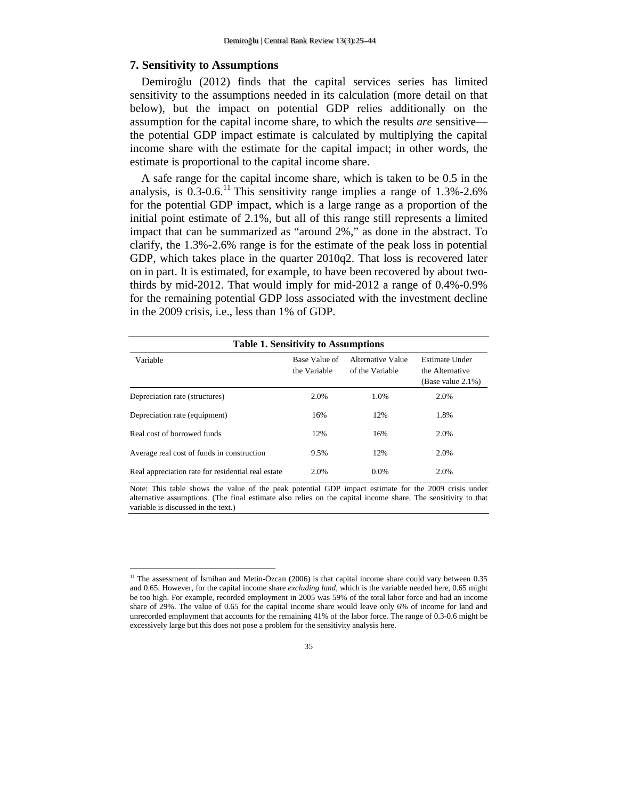#### **7. Sensitivity to Assumptions**

l

Demiroğlu (2012) finds that the capital services series has limited sensitivity to the assumptions needed in its calculation (more detail on that below), but the impact on potential GDP relies additionally on the assumption for the capital income share, to which the results *are* sensitive the potential GDP impact estimate is calculated by multiplying the capital income share with the estimate for the capital impact; in other words, the estimate is proportional to the capital income share.

A safe range for the capital income share, which is taken to be 0.5 in the analysis, is  $0.3{\text -}0.6$ .<sup>11</sup> This sensitivity range implies a range of 1.3%-2.6% for the potential GDP impact, which is a large range as a proportion of the initial point estimate of 2.1%, but all of this range still represents a limited impact that can be summarized as "around 2%," as done in the abstract. To clarify, the 1.3%-2.6% range is for the estimate of the peak loss in potential GDP, which takes place in the quarter 2010q2. That loss is recovered later on in part. It is estimated, for example, to have been recovered by about twothirds by mid-2012. That would imply for mid-2012 a range of 0.4%-0.9% for the remaining potential GDP loss associated with the investment decline in the 2009 crisis, i.e., less than 1% of GDP.

| <b>Table 1. Sensitivity to Assumptions</b>         |                               |                                      |                                                            |  |  |
|----------------------------------------------------|-------------------------------|--------------------------------------|------------------------------------------------------------|--|--|
| Variable                                           | Base Value of<br>the Variable | Alternative Value<br>of the Variable | Estimate Under<br>the Alternative<br>(Base value $2.1\%$ ) |  |  |
| Depreciation rate (structures)                     | 2.0%                          | 1.0%                                 | 2.0%                                                       |  |  |
| Depreciation rate (equipment)                      | 16%                           | 12%                                  | 1.8%                                                       |  |  |
| Real cost of borrowed funds                        | 12%                           | 16%                                  | 2.0%                                                       |  |  |
| Average real cost of funds in construction         | 9.5%                          | 12%                                  | 2.0%                                                       |  |  |
| Real appreciation rate for residential real estate | 2.0%                          | 0.0%                                 | 2.0%                                                       |  |  |

Note: This table shows the value of the peak potential GDP impact estimate for the 2009 crisis under alternative assumptions. (The final estimate also relies on the capital income share. The sensitivity to that variable is discussed in the text.)

 $11$  The assessment of İsmihan and Metin-Özcan (2006) is that capital income share could vary between 0.35 and 0.65. However, for the capital income share *excluding land*, which is the variable needed here, 0.65 might be too high. For example, recorded employment in 2005 was 59% of the total labor force and had an income share of 29%. The value of 0.65 for the capital income share would leave only 6% of income for land and unrecorded employment that accounts for the remaining 41% of the labor force. The range of 0.3-0.6 might be excessively large but this does not pose a problem for the sensitivity analysis here.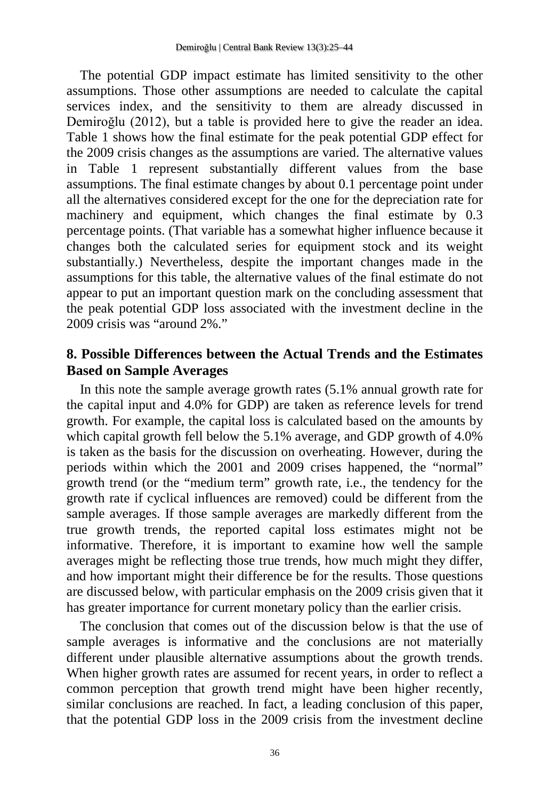The potential GDP impact estimate has limited sensitivity to the other assumptions. Those other assumptions are needed to calculate the capital services index, and the sensitivity to them are already discussed in Demiroğlu (2012), but a table is provided here to give the reader an idea. Table 1 shows how the final estimate for the peak potential GDP effect for the 2009 crisis changes as the assumptions are varied. The alternative values in Table 1 represent substantially different values from the base assumptions. The final estimate changes by about 0.1 percentage point under all the alternatives considered except for the one for the depreciation rate for machinery and equipment, which changes the final estimate by 0.3 percentage points. (That variable has a somewhat higher influence because it changes both the calculated series for equipment stock and its weight substantially.) Nevertheless, despite the important changes made in the assumptions for this table, the alternative values of the final estimate do not appear to put an important question mark on the concluding assessment that the peak potential GDP loss associated with the investment decline in the 2009 crisis was "around 2%."

### **8. Possible Differences between the Actual Trends and the Estimates Based on Sample Averages**

In this note the sample average growth rates (5.1% annual growth rate for the capital input and 4.0% for GDP) are taken as reference levels for trend growth. For example, the capital loss is calculated based on the amounts by which capital growth fell below the 5.1% average, and GDP growth of 4.0% is taken as the basis for the discussion on overheating. However, during the periods within which the 2001 and 2009 crises happened, the "normal" growth trend (or the "medium term" growth rate, i.e., the tendency for the growth rate if cyclical influences are removed) could be different from the sample averages. If those sample averages are markedly different from the true growth trends, the reported capital loss estimates might not be informative. Therefore, it is important to examine how well the sample averages might be reflecting those true trends, how much might they differ, and how important might their difference be for the results. Those questions are discussed below, with particular emphasis on the 2009 crisis given that it has greater importance for current monetary policy than the earlier crisis.

The conclusion that comes out of the discussion below is that the use of sample averages is informative and the conclusions are not materially different under plausible alternative assumptions about the growth trends. When higher growth rates are assumed for recent years, in order to reflect a common perception that growth trend might have been higher recently, similar conclusions are reached. In fact, a leading conclusion of this paper, that the potential GDP loss in the 2009 crisis from the investment decline

36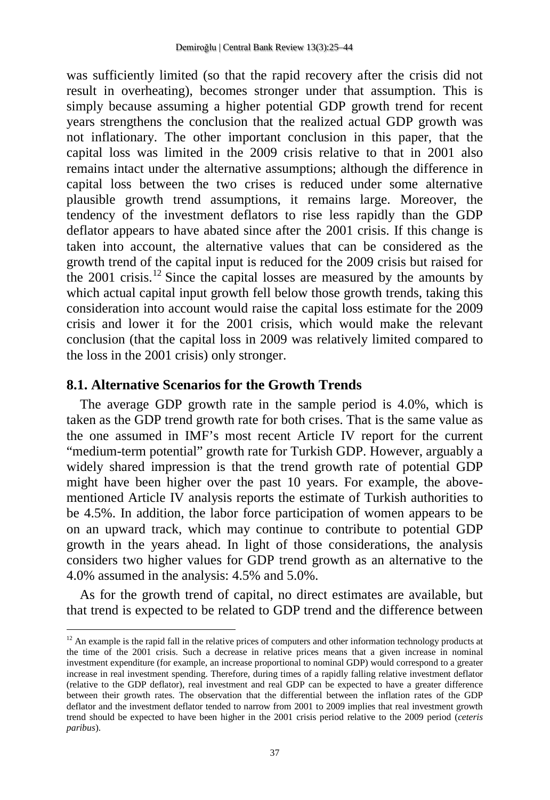was sufficiently limited (so that the rapid recovery after the crisis did not result in overheating), becomes stronger under that assumption. This is simply because assuming a higher potential GDP growth trend for recent years strengthens the conclusion that the realized actual GDP growth was not inflationary. The other important conclusion in this paper, that the capital loss was limited in the 2009 crisis relative to that in 2001 also remains intact under the alternative assumptions; although the difference in capital loss between the two crises is reduced under some alternative plausible growth trend assumptions, it remains large. Moreover, the tendency of the investment deflators to rise less rapidly than the GDP deflator appears to have abated since after the 2001 crisis. If this change is taken into account, the alternative values that can be considered as the growth trend of the capital input is reduced for the 2009 crisis but raised for the  $2001$  crisis.<sup>[12](#page--1-0)</sup> Since the capital losses are measured by the amounts by which actual capital input growth fell below those growth trends, taking this consideration into account would raise the capital loss estimate for the 2009 crisis and lower it for the 2001 crisis, which would make the relevant conclusion (that the capital loss in 2009 was relatively limited compared to the loss in the 2001 crisis) only stronger.

### **8.1. Alternative Scenarios for the Growth Trends**

 $\overline{a}$ 

The average GDP growth rate in the sample period is 4.0%, which is taken as the GDP trend growth rate for both crises. That is the same value as the one assumed in IMF's most recent Article IV report for the current "medium-term potential" growth rate for Turkish GDP. However, arguably a widely shared impression is that the trend growth rate of potential GDP might have been higher over the past 10 years. For example, the abovementioned Article IV analysis reports the estimate of Turkish authorities to be 4.5%. In addition, the labor force participation of women appears to be on an upward track, which may continue to contribute to potential GDP growth in the years ahead. In light of those considerations, the analysis considers two higher values for GDP trend growth as an alternative to the 4.0% assumed in the analysis: 4.5% and 5.0%.

As for the growth trend of capital, no direct estimates are available, but that trend is expected to be related to GDP trend and the difference between

<span id="page-12-0"></span> $12$  An example is the rapid fall in the relative prices of computers and other information technology products at the time of the 2001 crisis. Such a decrease in relative prices means that a given increase in nominal investment expenditure (for example, an increase proportional to nominal GDP) would correspond to a greater increase in real investment spending. Therefore, during times of a rapidly falling relative investment deflator (relative to the GDP deflator), real investment and real GDP can be expected to have a greater difference between their growth rates. The observation that the differential between the inflation rates of the GDP deflator and the investment deflator tended to narrow from 2001 to 2009 implies that real investment growth trend should be expected to have been higher in the 2001 crisis period relative to the 2009 period (*ceteris paribus*).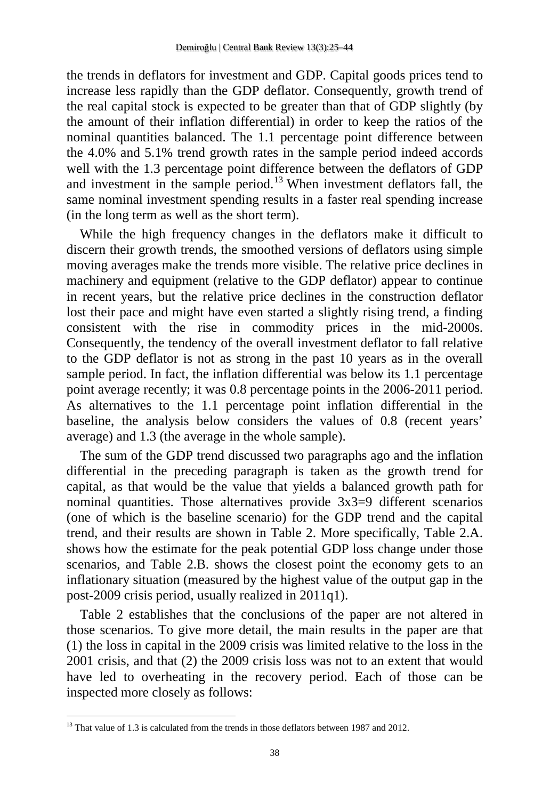the trends in deflators for investment and GDP. Capital goods prices tend to increase less rapidly than the GDP deflator. Consequently, growth trend of the real capital stock is expected to be greater than that of GDP slightly (by the amount of their inflation differential) in order to keep the ratios of the nominal quantities balanced. The 1.1 percentage point difference between the 4.0% and 5.1% trend growth rates in the sample period indeed accords well with the 1.3 percentage point difference between the deflators of GDP and investment in the sample period.[13](#page-12-0) When investment deflators fall, the same nominal investment spending results in a faster real spending increase (in the long term as well as the short term).

While the high frequency changes in the deflators make it difficult to discern their growth trends, the smoothed versions of deflators using simple moving averages make the trends more visible. The relative price declines in machinery and equipment (relative to the GDP deflator) appear to continue in recent years, but the relative price declines in the construction deflator lost their pace and might have even started a slightly rising trend, a finding consistent with the rise in commodity prices in the mid-2000s. Consequently, the tendency of the overall investment deflator to fall relative to the GDP deflator is not as strong in the past 10 years as in the overall sample period. In fact, the inflation differential was below its 1.1 percentage point average recently; it was 0.8 percentage points in the 2006-2011 period. As alternatives to the 1.1 percentage point inflation differential in the baseline, the analysis below considers the values of 0.8 (recent years' average) and 1.3 (the average in the whole sample).

The sum of the GDP trend discussed two paragraphs ago and the inflation differential in the preceding paragraph is taken as the growth trend for capital, as that would be the value that yields a balanced growth path for nominal quantities. Those alternatives provide 3x3=9 different scenarios (one of which is the baseline scenario) for the GDP trend and the capital trend, and their results are shown in Table 2. More specifically, Table 2.A. shows how the estimate for the peak potential GDP loss change under those scenarios, and Table 2.B. shows the closest point the economy gets to an inflationary situation (measured by the highest value of the output gap in the post-2009 crisis period, usually realized in 2011q1).

Table 2 establishes that the conclusions of the paper are not altered in those scenarios. To give more detail, the main results in the paper are that (1) the loss in capital in the 2009 crisis was limited relative to the loss in the 2001 crisis, and that (2) the 2009 crisis loss was not to an extent that would have led to overheating in the recovery period. Each of those can be inspected more closely as follows:

<span id="page-13-0"></span>l

<sup>&</sup>lt;sup>13</sup> That value of 1.3 is calculated from the trends in those deflators between 1987 and 2012.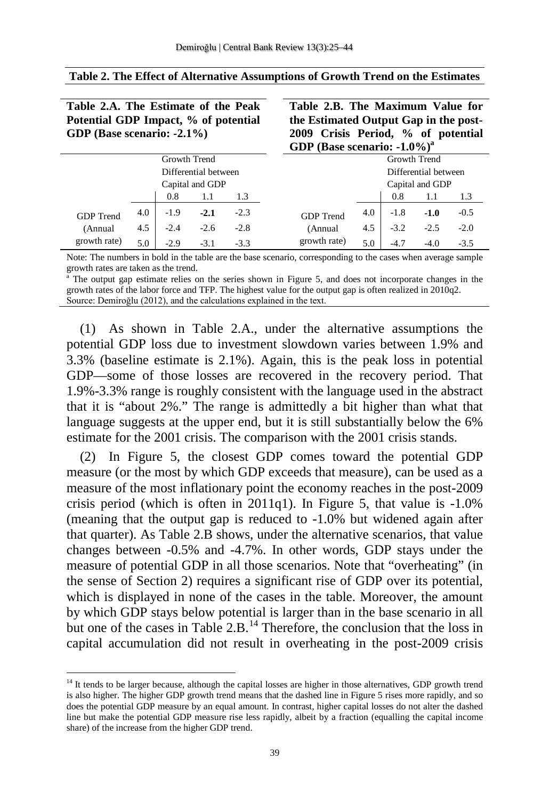**Table 2.A. The Estimate of the Peak Potential GDP Impact, % of potential** 

 $\overline{a}$ 

| GDP (Base scenario: $-2.1\%$ ) |     |        |        | 2009 Crisis Period, % of potential<br>GDP (Base scenario: $-1.0\%$ ) <sup>a</sup> |                  |     |        |        |        |  |
|--------------------------------|-----|--------|--------|-----------------------------------------------------------------------------------|------------------|-----|--------|--------|--------|--|
| Growth Trend                   |     |        |        | Growth Trend                                                                      |                  |     |        |        |        |  |
| Differential between           |     |        |        | Differential between                                                              |                  |     |        |        |        |  |
| Capital and GDP                |     |        |        | Capital and GDP                                                                   |                  |     |        |        |        |  |
|                                |     | 0.8    | 1.1    | 1.3                                                                               |                  |     | 0.8    | 1.1    | 1.3    |  |
| <b>GDP</b> Trend               | 4.0 | $-1.9$ | $-2.1$ | $-2.3$                                                                            | <b>GDP</b> Trend | 4.0 | $-1.8$ | $-1.0$ | $-0.5$ |  |
| (Annual                        | 4.5 | $-2.4$ | $-2.6$ | $-2.8$                                                                            | (Annual)         | 4.5 | $-3.2$ | $-2.5$ | $-2.0$ |  |
| growth rate)                   | 5.0 | $-2.9$ | $-3.1$ | $-3.3$                                                                            | growth rate)     | 5.0 | $-4.7$ | $-4.0$ | $-3.5$ |  |

#### **Table 2. The Effect of Alternative Assumptions of Growth Trend on the Estimates**

**Table 2.B. The Maximum Value for the Estimated Output Gap in the post-**

Note: The numbers in bold in the table are the base scenario, corresponding to the cases when average sample growth rates are taken as the trend.

The output gap estimate relies on the series shown in Figure 5, and does not incorporate changes in the growth rates of the labor force and TFP. The highest value for the output gap is often realized in 2010q2. Source: Demiroğlu (2012), and the calculations explained in the text.

(1) As shown in Table 2.A., under the alternative assumptions the potential GDP loss due to investment slowdown varies between 1.9% and 3.3% (baseline estimate is 2.1%). Again, this is the peak loss in potential GDP—some of those losses are recovered in the recovery period. That 1.9%-3.3% range is roughly consistent with the language used in the abstract that it is "about 2%." The range is admittedly a bit higher than what that language suggests at the upper end, but it is still substantially below the 6% estimate for the 2001 crisis. The comparison with the 2001 crisis stands.

(2) In Figure 5, the closest GDP comes toward the potential GDP measure (or the most by which GDP exceeds that measure), can be used as a measure of the most inflationary point the economy reaches in the post-2009 crisis period (which is often in 2011q1). In Figure 5, that value is -1.0% (meaning that the output gap is reduced to -1.0% but widened again after that quarter). As Table 2.B shows, under the alternative scenarios, that value changes between -0.5% and -4.7%. In other words, GDP stays under the measure of potential GDP in all those scenarios. Note that "overheating" (in the sense of Section 2) requires a significant rise of GDP over its potential, which is displayed in none of the cases in the table. Moreover, the amount by which GDP stays below potential is larger than in the base scenario in all but one of the cases in Table 2.B.<sup>[14](#page-13-0)</sup> Therefore, the conclusion that the loss in capital accumulation did not result in overheating in the post-2009 crisis

<sup>&</sup>lt;sup>14</sup> It tends to be larger because, although the capital losses are higher in those alternatives, GDP growth trend is also higher. The higher GDP growth trend means that the dashed line in Figure 5 rises more rapidly, and so does the potential GDP measure by an equal amount. In contrast, higher capital losses do not alter the dashed line but make the potential GDP measure rise less rapidly, albeit by a fraction (equalling the capital income share) of the increase from the higher GDP trend.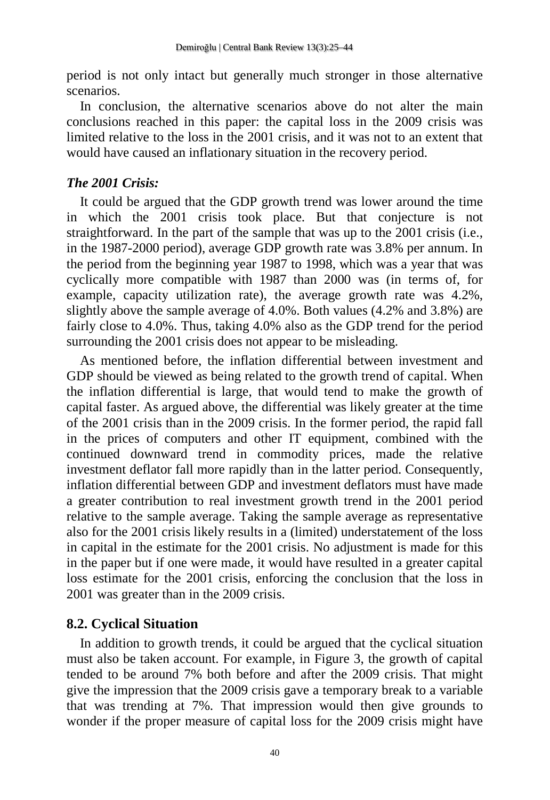period is not only intact but generally much stronger in those alternative scenarios.

In conclusion, the alternative scenarios above do not alter the main conclusions reached in this paper: the capital loss in the 2009 crisis was limited relative to the loss in the 2001 crisis, and it was not to an extent that would have caused an inflationary situation in the recovery period.

### *The 2001 Crisis:*

It could be argued that the GDP growth trend was lower around the time in which the 2001 crisis took place. But that conjecture is not straightforward. In the part of the sample that was up to the 2001 crisis (i.e., in the 1987-2000 period), average GDP growth rate was 3.8% per annum. In the period from the beginning year 1987 to 1998, which was a year that was cyclically more compatible with 1987 than 2000 was (in terms of, for example, capacity utilization rate), the average growth rate was 4.2%, slightly above the sample average of 4.0%. Both values (4.2% and 3.8%) are fairly close to 4.0%. Thus, taking 4.0% also as the GDP trend for the period surrounding the 2001 crisis does not appear to be misleading.

As mentioned before, the inflation differential between investment and GDP should be viewed as being related to the growth trend of capital. When the inflation differential is large, that would tend to make the growth of capital faster. As argued above, the differential was likely greater at the time of the 2001 crisis than in the 2009 crisis. In the former period, the rapid fall in the prices of computers and other IT equipment, combined with the continued downward trend in commodity prices, made the relative investment deflator fall more rapidly than in the latter period. Consequently, inflation differential between GDP and investment deflators must have made a greater contribution to real investment growth trend in the 2001 period relative to the sample average. Taking the sample average as representative also for the 2001 crisis likely results in a (limited) understatement of the loss in capital in the estimate for the 2001 crisis. No adjustment is made for this in the paper but if one were made, it would have resulted in a greater capital loss estimate for the 2001 crisis, enforcing the conclusion that the loss in 2001 was greater than in the 2009 crisis.

### **8.2. Cyclical Situation**

In addition to growth trends, it could be argued that the cyclical situation must also be taken account. For example, in Figure 3, the growth of capital tended to be around 7% both before and after the 2009 crisis. That might give the impression that the 2009 crisis gave a temporary break to a variable that was trending at 7%. That impression would then give grounds to wonder if the proper measure of capital loss for the 2009 crisis might have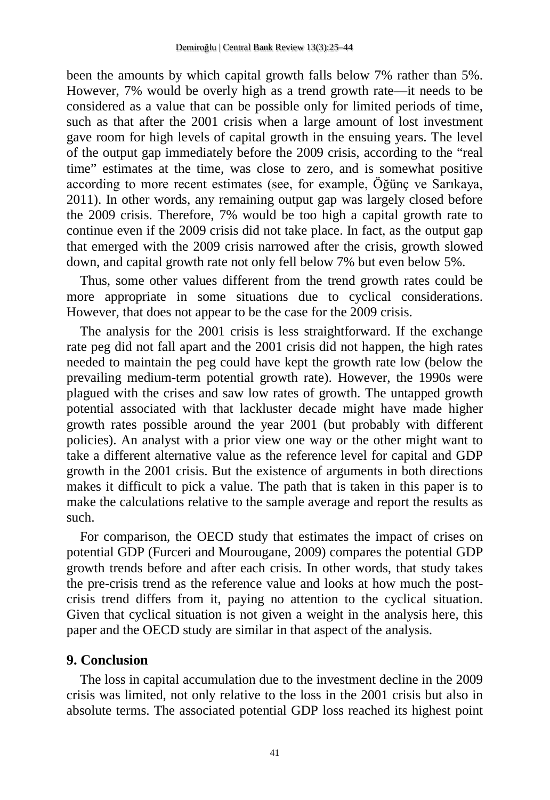been the amounts by which capital growth falls below 7% rather than 5%. However, 7% would be overly high as a trend growth rate—it needs to be considered as a value that can be possible only for limited periods of time, such as that after the 2001 crisis when a large amount of lost investment gave room for high levels of capital growth in the ensuing years. The level of the output gap immediately before the 2009 crisis, according to the "real time" estimates at the time, was close to zero, and is somewhat positive according to more recent estimates (see, for example, Öğünç ve Sarıkaya, 2011). In other words, any remaining output gap was largely closed before the 2009 crisis. Therefore, 7% would be too high a capital growth rate to continue even if the 2009 crisis did not take place. In fact, as the output gap that emerged with the 2009 crisis narrowed after the crisis, growth slowed down, and capital growth rate not only fell below 7% but even below 5%.

Thus, some other values different from the trend growth rates could be more appropriate in some situations due to cyclical considerations. However, that does not appear to be the case for the 2009 crisis.

The analysis for the 2001 crisis is less straightforward. If the exchange rate peg did not fall apart and the 2001 crisis did not happen, the high rates needed to maintain the peg could have kept the growth rate low (below the prevailing medium-term potential growth rate). However, the 1990s were plagued with the crises and saw low rates of growth. The untapped growth potential associated with that lackluster decade might have made higher growth rates possible around the year 2001 (but probably with different policies). An analyst with a prior view one way or the other might want to take a different alternative value as the reference level for capital and GDP growth in the 2001 crisis. But the existence of arguments in both directions makes it difficult to pick a value. The path that is taken in this paper is to make the calculations relative to the sample average and report the results as such.

For comparison, the OECD study that estimates the impact of crises on potential GDP (Furceri and Mourougane, 2009) compares the potential GDP growth trends before and after each crisis. In other words, that study takes the pre-crisis trend as the reference value and looks at how much the postcrisis trend differs from it, paying no attention to the cyclical situation. Given that cyclical situation is not given a weight in the analysis here, this paper and the OECD study are similar in that aspect of the analysis.

### **9. Conclusion**

The loss in capital accumulation due to the investment decline in the 2009 crisis was limited, not only relative to the loss in the 2001 crisis but also in absolute terms. The associated potential GDP loss reached its highest point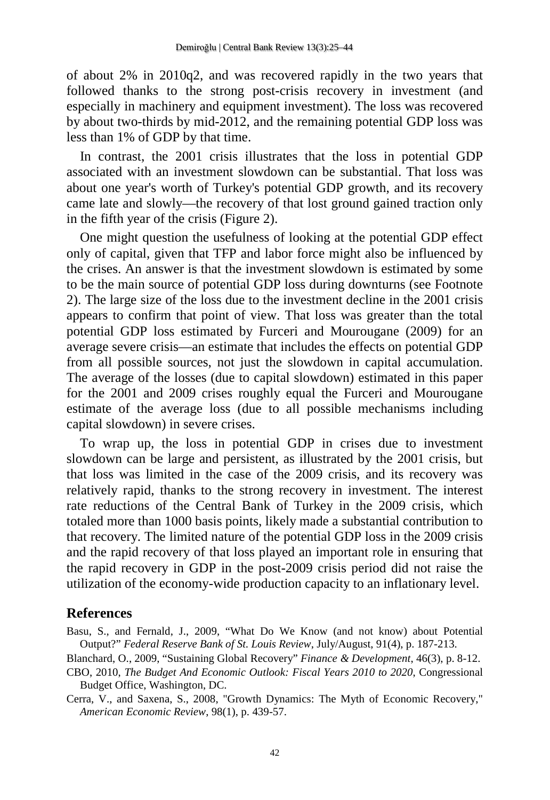of about 2% in 2010q2, and was recovered rapidly in the two years that followed thanks to the strong post-crisis recovery in investment (and especially in machinery and equipment investment). The loss was recovered by about two-thirds by mid-2012, and the remaining potential GDP loss was less than 1% of GDP by that time.

In contrast, the 2001 crisis illustrates that the loss in potential GDP associated with an investment slowdown can be substantial. That loss was about one year's worth of Turkey's potential GDP growth, and its recovery came late and slowly—the recovery of that lost ground gained traction only in the fifth year of the crisis (Figure 2).

One might question the usefulness of looking at the potential GDP effect only of capital, given that TFP and labor force might also be influenced by the crises. An answer is that the investment slowdown is estimated by some to be the main source of potential GDP loss during downturns (see Footnote 2). The large size of the loss due to the investment decline in the 2001 crisis appears to confirm that point of view. That loss was greater than the total potential GDP loss estimated by Furceri and Mourougane (2009) for an average severe crisis—an estimate that includes the effects on potential GDP from all possible sources, not just the slowdown in capital accumulation. The average of the losses (due to capital slowdown) estimated in this paper for the 2001 and 2009 crises roughly equal the Furceri and Mourougane estimate of the average loss (due to all possible mechanisms including capital slowdown) in severe crises.

To wrap up, the loss in potential GDP in crises due to investment slowdown can be large and persistent, as illustrated by the 2001 crisis, but that loss was limited in the case of the 2009 crisis, and its recovery was relatively rapid, thanks to the strong recovery in investment. The interest rate reductions of the Central Bank of Turkey in the 2009 crisis, which totaled more than 1000 basis points, likely made a substantial contribution to that recovery. The limited nature of the potential GDP loss in the 2009 crisis and the rapid recovery of that loss played an important role in ensuring that the rapid recovery in GDP in the post-2009 crisis period did not raise the utilization of the economy-wide production capacity to an inflationary level.

### **References**

Basu, S., and Fernald, J., 2009, "What Do We Know (and not know) about Potential Output?" *Federal Reserve Bank of St. Louis Review*, July/August, 91(4), p. 187-213.

Blanchard, O., 2009, "Sustaining Global Recovery" *Finance & Development*, 46(3), p. 8-12.

CBO, 2010, *The Budget And Economic Outlook: Fiscal Years 2010 to 2020*, Congressional Budget Office, Washington, DC.

Cerra, V., and Saxena, S., 2008, "Growth Dynamics: The Myth of Economic Recovery," *American Economic Review*, 98(1), p. 439-57.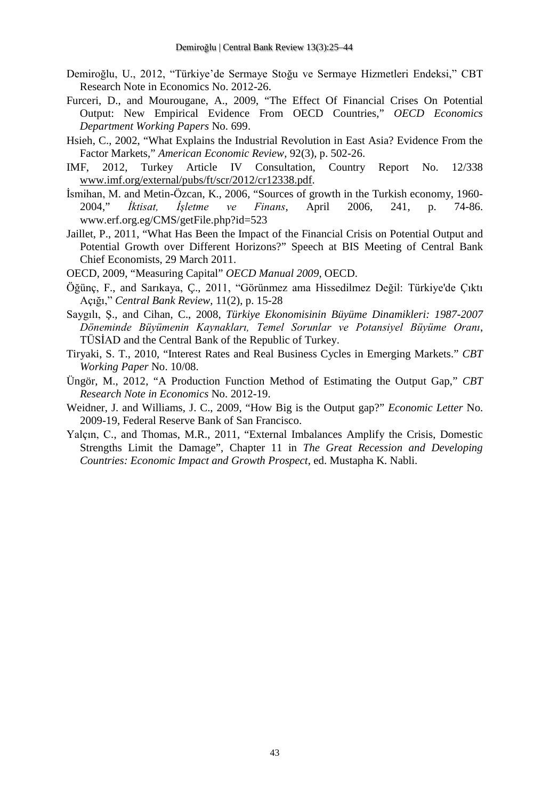- Demiroğlu, U., 2012, "Türkiye'de Sermaye Stoğu ve Sermaye Hizmetleri Endeksi," CBT Research Note in Economics No. 2012-26.
- Furceri, D., and Mourougane, A., 2009, "The Effect Of Financial Crises On Potential Output: New Empirical Evidence From OECD Countries," *OECD Economics Department Working Papers* No. 699.
- Hsieh, C., 2002, "What Explains the Industrial Revolution in East Asia? Evidence From the Factor Markets," *American Economic Review*, 92(3), p. 502-26.
- IMF, 2012, Turkey Article IV Consultation, Country Report No. 12/338 [www.imf.org/external/pubs/ft/scr/2012/cr12338.pdf.](http://www.imf.org/external/pubs/ft/scr/2012/cr12338.pdf)
- İsmihan, M. and Metin-Özcan, K., 2006, "Sources of growth in the Turkish economy, 1960- 2004," *İktisat, İşletme ve Finans*, April 2006, 241, p. 74-86. www.erf.org.eg/CMS/getFile.php?id=523
- Jaillet, P., 2011, "What Has Been the Impact of the Financial Crisis on Potential Output and Potential Growth over Different Horizons?" Speech at BIS Meeting of Central Bank Chief Economists, 29 March 2011.
- OECD, 2009, "Measuring Capital" *OECD Manual 2009*, OECD.
- Öğünç, F., and Sarıkaya, Ç., 2011, "Görünmez ama Hissedilmez Değil: Türkiye'de Çıktı Açığı," *Central Bank Review*, 11(2), p. 15-28
- Saygılı, Ş., and Cihan, C., 2008, *Türkiye Ekonomisinin Büyüme Dinamikleri: 1987-2007 Döneminde Büyümenin Kaynakları, Temel Sorunlar ve Potansiyel Büyüme Oranı*, TÜSİAD and the Central Bank of the Republic of Turkey.
- Tiryaki, S. T., 2010, "Interest Rates and Real Business Cycles in Emerging Markets." *CBT Working Paper* No. 10/08.
- Üngör, M., 2012, "A Production Function Method of Estimating the Output Gap," *CBT Research Note in Economics* No. 2012-19.
- Weidner, J. and Williams, J. C., 2009, "How Big is the Output gap?" *Economic Letter* No. 2009-19, Federal Reserve Bank of San Francisco.
- Yalçın, C., and Thomas, M.R., 2011, "External Imbalances Amplify the Crisis, Domestic Strengths Limit the Damage", Chapter 11 in *The Great Recession and Developing Countries: Economic Impact and Growth Prospect*, ed. Mustapha K. Nabli.